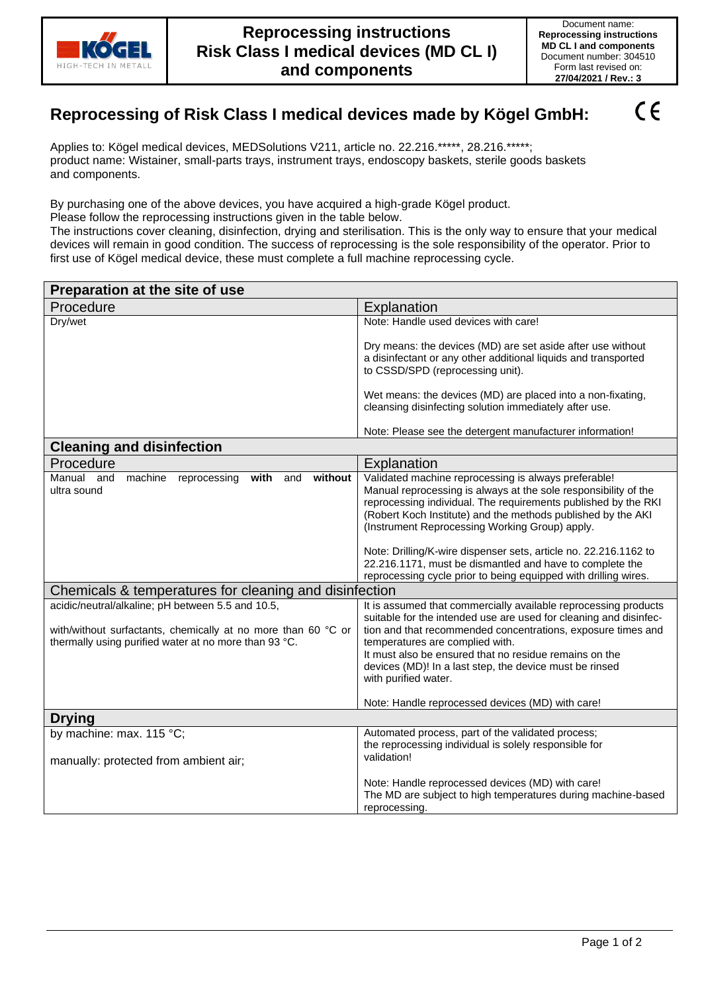

 $\epsilon$ 

Form last revised on:

## **Reprocessing of Risk Class I medical devices made by Kögel GmbH:**

Applies to: Kögel medical devices, MEDSolutions V211, article no. 22.216.\*\*\*\*\*, 28.216.\*\*\*\*\*; product name: Wistainer, small-parts trays, instrument trays, endoscopy baskets, sterile goods baskets and components.

By purchasing one of the above devices, you have acquired a high-grade Kögel product.

Please follow the reprocessing instructions given in the table below.

The instructions cover cleaning, disinfection, drying and sterilisation. This is the only way to ensure that your medical devices will remain in good condition. The success of reprocessing is the sole responsibility of the operator. Prior to first use of Kögel medical device, these must complete a full machine reprocessing cycle.

| Preparation at the site of use                                                                                                                                                                                                                                                                                          |                                                                                                                                                                                                                                                                                                                                                                                                                                                                                                                                                                                                                                                                                                                                                                                                                                                                                                        |
|-------------------------------------------------------------------------------------------------------------------------------------------------------------------------------------------------------------------------------------------------------------------------------------------------------------------------|--------------------------------------------------------------------------------------------------------------------------------------------------------------------------------------------------------------------------------------------------------------------------------------------------------------------------------------------------------------------------------------------------------------------------------------------------------------------------------------------------------------------------------------------------------------------------------------------------------------------------------------------------------------------------------------------------------------------------------------------------------------------------------------------------------------------------------------------------------------------------------------------------------|
| Procedure                                                                                                                                                                                                                                                                                                               | Explanation                                                                                                                                                                                                                                                                                                                                                                                                                                                                                                                                                                                                                                                                                                                                                                                                                                                                                            |
| Dry/wet                                                                                                                                                                                                                                                                                                                 | Note: Handle used devices with care!                                                                                                                                                                                                                                                                                                                                                                                                                                                                                                                                                                                                                                                                                                                                                                                                                                                                   |
|                                                                                                                                                                                                                                                                                                                         | Dry means: the devices (MD) are set aside after use without<br>a disinfectant or any other additional liquids and transported<br>to CSSD/SPD (reprocessing unit).                                                                                                                                                                                                                                                                                                                                                                                                                                                                                                                                                                                                                                                                                                                                      |
|                                                                                                                                                                                                                                                                                                                         | Wet means: the devices (MD) are placed into a non-fixating,<br>cleansing disinfecting solution immediately after use.                                                                                                                                                                                                                                                                                                                                                                                                                                                                                                                                                                                                                                                                                                                                                                                  |
|                                                                                                                                                                                                                                                                                                                         | Note: Please see the detergent manufacturer information!                                                                                                                                                                                                                                                                                                                                                                                                                                                                                                                                                                                                                                                                                                                                                                                                                                               |
| <b>Cleaning and disinfection</b>                                                                                                                                                                                                                                                                                        |                                                                                                                                                                                                                                                                                                                                                                                                                                                                                                                                                                                                                                                                                                                                                                                                                                                                                                        |
| Procedure                                                                                                                                                                                                                                                                                                               | Explanation                                                                                                                                                                                                                                                                                                                                                                                                                                                                                                                                                                                                                                                                                                                                                                                                                                                                                            |
| without<br>Manual and<br>machine<br>reprocessing<br>with<br>and<br>ultra sound<br>Chemicals & temperatures for cleaning and disinfection<br>acidic/neutral/alkaline; pH between 5.5 and 10.5,<br>with/without surfactants, chemically at no more than 60 °C or<br>thermally using purified water at no more than 93 °C. | Validated machine reprocessing is always preferable!<br>Manual reprocessing is always at the sole responsibility of the<br>reprocessing individual. The requirements published by the RKI<br>(Robert Koch Institute) and the methods published by the AKI<br>(Instrument Reprocessing Working Group) apply.<br>Note: Drilling/K-wire dispenser sets, article no. 22.216.1162 to<br>22.216.1171, must be dismantled and have to complete the<br>reprocessing cycle prior to being equipped with drilling wires.<br>It is assumed that commercially available reprocessing products<br>suitable for the intended use are used for cleaning and disinfec-<br>tion and that recommended concentrations, exposure times and<br>temperatures are complied with.<br>It must also be ensured that no residue remains on the<br>devices (MD)! In a last step, the device must be rinsed<br>with purified water. |
|                                                                                                                                                                                                                                                                                                                         | Note: Handle reprocessed devices (MD) with care!                                                                                                                                                                                                                                                                                                                                                                                                                                                                                                                                                                                                                                                                                                                                                                                                                                                       |
| <b>Drying</b>                                                                                                                                                                                                                                                                                                           |                                                                                                                                                                                                                                                                                                                                                                                                                                                                                                                                                                                                                                                                                                                                                                                                                                                                                                        |
| by machine: max. 115 °C;<br>manually: protected from ambient air;                                                                                                                                                                                                                                                       | Automated process, part of the validated process;<br>the reprocessing individual is solely responsible for<br>validation!                                                                                                                                                                                                                                                                                                                                                                                                                                                                                                                                                                                                                                                                                                                                                                              |
|                                                                                                                                                                                                                                                                                                                         | Note: Handle reprocessed devices (MD) with care!<br>The MD are subject to high temperatures during machine-based<br>reprocessing.                                                                                                                                                                                                                                                                                                                                                                                                                                                                                                                                                                                                                                                                                                                                                                      |